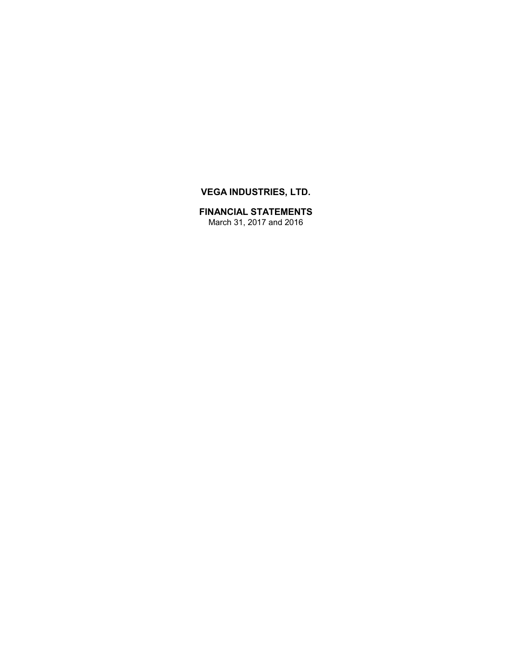# **VEGA INDUSTRIES, LTD.**

**FINANCIAL STATEMENTS** March 31, 2017 and 2016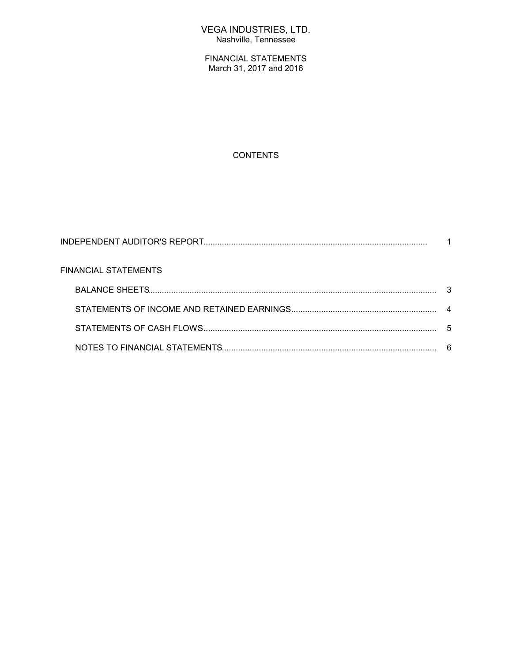## VEGA INDUSTRIES, LTD. Nashville, Tennessee

FINANCIAL STATEMENTS March 31, 2017 and 2016

### **CONTENTS**

| <b>FINANCIAL STATEMENTS</b> |  |
|-----------------------------|--|
|                             |  |
|                             |  |
|                             |  |
|                             |  |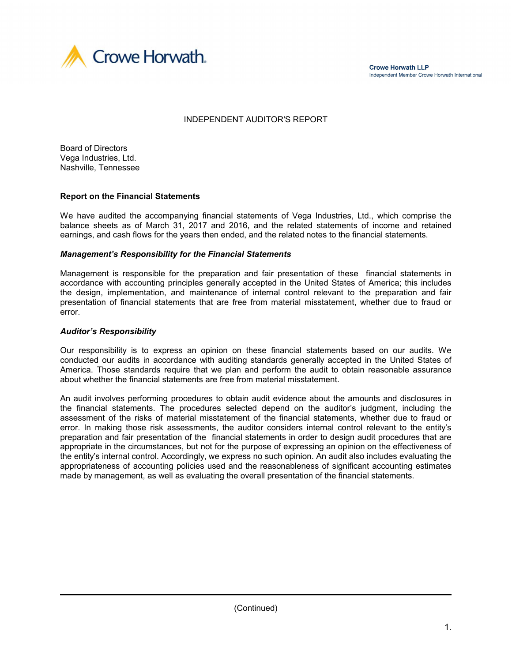

**Crowe Horwath LLP** Independent Member Crowe Horwath International

### INDEPENDENT AUDITOR'S REPORT

Board of Directors Vega Industries, Ltd. Nashville, Tennessee

#### **Report on the Financial Statements**

We have audited the accompanying financial statements of Vega Industries, Ltd., which comprise the balance sheets as of March 31, 2017 and 2016, and the related statements of income and retained earnings, and cash flows for the years then ended, and the related notes to the financial statements.

#### *Management's Responsibility for the Financial Statements*

Management is responsible for the preparation and fair presentation of these financial statements in accordance with accounting principles generally accepted in the United States of America; this includes the design, implementation, and maintenance of internal control relevant to the preparation and fair presentation of financial statements that are free from material misstatement, whether due to fraud or error.

#### *Auditor's Responsibility*

Our responsibility is to express an opinion on these financial statements based on our audits. We conducted our audits in accordance with auditing standards generally accepted in the United States of America. Those standards require that we plan and perform the audit to obtain reasonable assurance about whether the financial statements are free from material misstatement.

An audit involves performing procedures to obtain audit evidence about the amounts and disclosures in the financial statements. The procedures selected depend on the auditor's judgment, including the assessment of the risks of material misstatement of the financial statements, whether due to fraud or error. In making those risk assessments, the auditor considers internal control relevant to the entity's preparation and fair presentation of the financial statements in order to design audit procedures that are appropriate in the circumstances, but not for the purpose of expressing an opinion on the effectiveness of the entity's internal control. Accordingly, we express no such opinion. An audit also includes evaluating the appropriateness of accounting policies used and the reasonableness of significant accounting estimates made by management, as well as evaluating the overall presentation of the financial statements.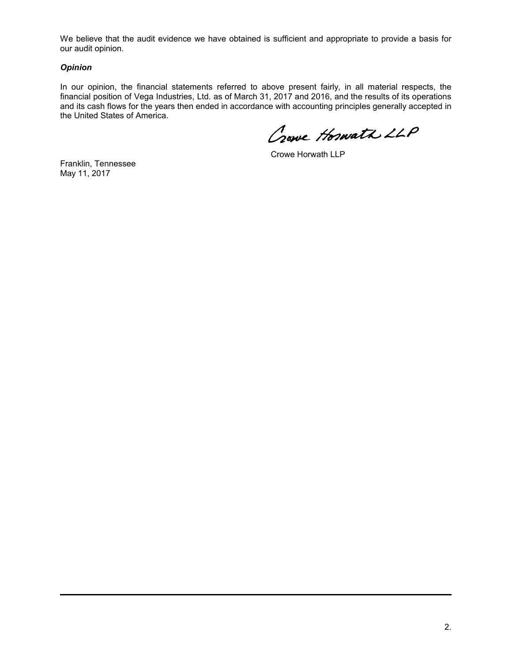We believe that the audit evidence we have obtained is sufficient and appropriate to provide a basis for our audit opinion.

#### *Opinion*

In our opinion, the financial statements referred to above present fairly, in all material respects, the financial position of Vega Industries, Ltd. as of March 31, 2017 and 2016, and the results of its operations and its cash flows for the years then ended in accordance with accounting principles generally accepted in the United States of America.

Crowe Hoswath LLP

Crowe Horwath LLP

Franklin, Tennessee May 11, 2017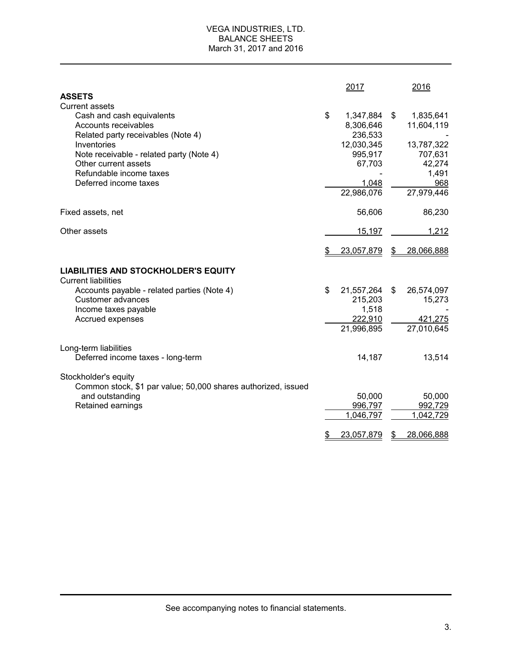### VEGA INDUSTRIES, LTD. BALANCE SHEETS March 31, 2017 and 2016

|                                                                                         |    | 2017                              |       | 2016                    |
|-----------------------------------------------------------------------------------------|----|-----------------------------------|-------|-------------------------|
| <b>ASSETS</b>                                                                           |    |                                   |       |                         |
| <b>Current assets</b>                                                                   |    |                                   |       |                         |
| Cash and cash equivalents<br>Accounts receivables<br>Related party receivables (Note 4) | \$ | 1,347,884<br>8,306,646<br>236,533 | $\$\$ | 1,835,641<br>11,604,119 |
| Inventories<br>Note receivable - related party (Note 4)                                 |    | 12,030,345<br>995,917             |       | 13,787,322<br>707,631   |
| Other current assets                                                                    |    | 67,703                            |       | 42,274                  |
| Refundable income taxes                                                                 |    |                                   |       | 1,491                   |
| Deferred income taxes                                                                   |    | 1,048                             |       | 968                     |
|                                                                                         |    | 22,986,076                        |       | 27,979,446              |
| Fixed assets, net                                                                       |    | 56,606                            |       | 86,230                  |
| Other assets                                                                            |    | 15,197                            |       | 1,212                   |
|                                                                                         | £. | 23,057,879                        | \$    | 28,066,888              |
| <b>LIABILITIES AND STOCKHOLDER'S EQUITY</b>                                             |    |                                   |       |                         |
| <b>Current liabilities</b>                                                              |    |                                   |       |                         |
| Accounts payable - related parties (Note 4)                                             | \$ | 21,557,264                        | \$    | 26,574,097              |
| Customer advances<br>Income taxes payable                                               |    | 215,203<br>1,518                  |       | 15,273                  |
| Accrued expenses                                                                        |    | 222,910                           |       | 421,275                 |
|                                                                                         |    | 21,996,895                        |       | 27,010,645              |
| Long-term liabilities                                                                   |    |                                   |       |                         |
| Deferred income taxes - long-term                                                       |    | 14,187                            |       | 13,514                  |
| Stockholder's equity                                                                    |    |                                   |       |                         |
| Common stock, \$1 par value; 50,000 shares authorized, issued<br>and outstanding        |    | 50,000                            |       | 50,000                  |
| Retained earnings                                                                       |    | 996,797                           |       | 992,729                 |
|                                                                                         |    | 1,046,797                         |       | 1,042,729               |
|                                                                                         | \$ | 23,057,879                        | \$    | 28,066,888              |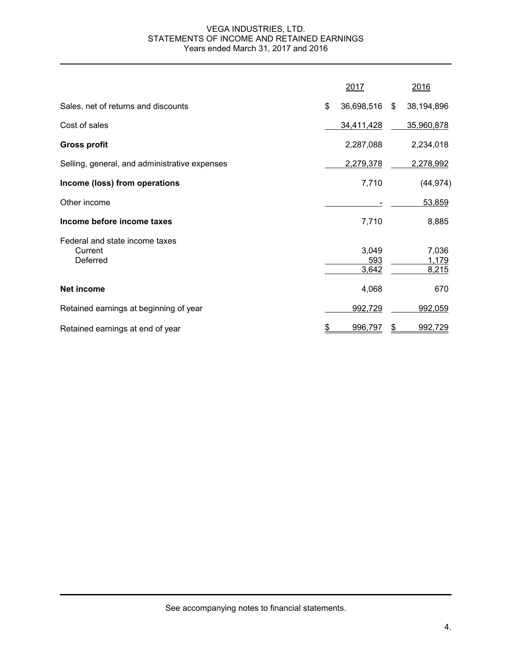### VEGA INDUSTRIES, LTD. STATEMENTS OF INCOME AND RETAINED EARNINGS Years ended March 31, 2017 and 2016

|                                                       | 2017                  |      | 2016                    |
|-------------------------------------------------------|-----------------------|------|-------------------------|
| Sales, net of returns and discounts                   | \$<br>36,698,516      | - \$ | 38,194,896              |
| Cost of sales                                         | 34,411,428            |      | 35,960,878              |
| <b>Gross profit</b>                                   | 2,287,088             |      | 2,234,018               |
| Selling, general, and administrative expenses         | 2,279,378             |      | 2,278,992               |
| Income (loss) from operations                         | 7,710                 |      | (44, 974)               |
| Other income                                          |                       |      | 53,859                  |
| Income before income taxes                            | 7,710                 |      | 8,885                   |
| Federal and state income taxes<br>Current<br>Deferred | 3,049<br>593<br>3,642 |      | 7,036<br>1,179<br>8,215 |
| Net income                                            | 4,068                 |      | 670                     |
| Retained earnings at beginning of year                | 992,729               |      | 992,059                 |
| Retained earnings at end of year                      | \$<br>996,797         | \$   | 992,729                 |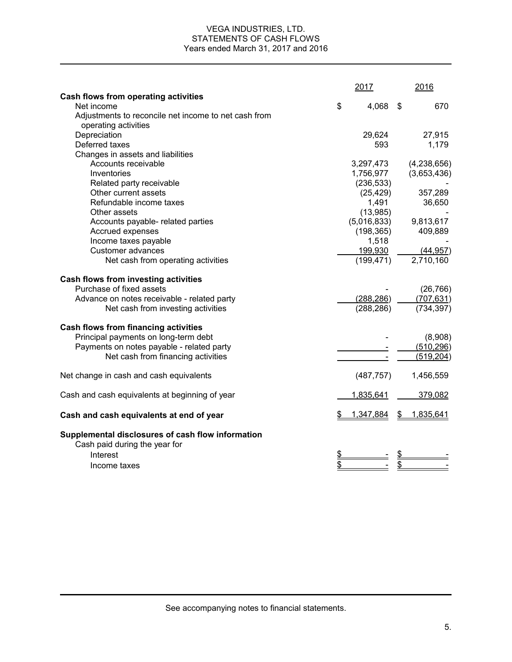#### VEGA INDUSTRIES, LTD. STATEMENTS OF CASH FLOWS Years ended March 31, 2017 and 2016

|                                                                                                | 2017        | 2016            |
|------------------------------------------------------------------------------------------------|-------------|-----------------|
| Cash flows from operating activities                                                           |             |                 |
| Net income                                                                                     | \$<br>4,068 | \$<br>670       |
| Adjustments to reconcile net income to net cash from<br>operating activities                   |             |                 |
| Depreciation                                                                                   | 29,624      | 27,915          |
| Deferred taxes                                                                                 | 593         | 1,179           |
| Changes in assets and liabilities                                                              |             |                 |
| Accounts receivable                                                                            | 3,297,473   | (4,238,656)     |
| Inventories                                                                                    | 1,756,977   | (3,653,436)     |
| Related party receivable                                                                       | (236, 533)  |                 |
| Other current assets                                                                           | (25, 429)   | 357,289         |
| Refundable income taxes                                                                        | 1,491       | 36,650          |
| Other assets                                                                                   | (13,985)    |                 |
| Accounts payable- related parties                                                              | (5,016,833) | 9,813,617       |
| Accrued expenses                                                                               | (198, 365)  | 409,889         |
| Income taxes payable                                                                           | 1,518       |                 |
| <b>Customer advances</b>                                                                       | 199,930     | (44, 957)       |
| Net cash from operating activities                                                             | (199, 471)  | 2,710,160       |
| Cash flows from investing activities                                                           |             |                 |
| Purchase of fixed assets                                                                       |             | (26, 766)       |
| Advance on notes receivable - related party                                                    | (288, 286)  | (707, 631)      |
| Net cash from investing activities                                                             | (288, 286)  | (734, 397)      |
| Cash flows from financing activities                                                           |             |                 |
| Principal payments on long-term debt                                                           |             | (8,908)         |
| Payments on notes payable - related party                                                      |             | (510, 296)      |
| Net cash from financing activities                                                             |             | (519, 204)      |
| Net change in cash and cash equivalents                                                        | (487, 757)  | 1,456,559       |
| Cash and cash equivalents at beginning of year                                                 | 1,835,641   | 379,082         |
| Cash and cash equivalents at end of year                                                       | 1,347,884   | \$<br>1,835,641 |
| Supplemental disclosures of cash flow information<br>Cash paid during the year for<br>Interest |             |                 |
| Income taxes                                                                                   |             |                 |
|                                                                                                |             |                 |

See accompanying notes to financial statements.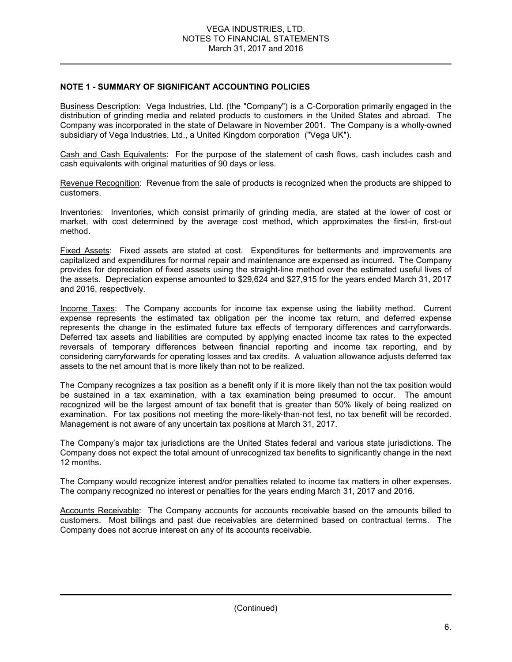### **NOTE 1 - SUMMARY OF SIGNIFICANT ACCOUNTING POLICIES**

Business Description: Vega Industries, Ltd. (the "Company") is a C-Corporation primarily engaged in the distribution of grinding media and related products to customers in the United States and abroad. The Company was incorporated in the state of Delaware in November 2001. The Company is a wholly-owned subsidiary of Vega Industries, Ltd., a United Kingdom corporation ("Vega UK").

Cash and Cash Equivalents: For the purpose of the statement of cash flows, cash includes cash and cash equivalents with original maturities of 90 days or less.

Revenue Recognition: Revenue from the sale of products is recognized when the products are shipped to customers.

Inventories: Inventories, which consist primarily of grinding media, are stated at the lower of cost or market, with cost determined by the average cost method, which approximates the first-in, first-out method.

Fixed Assets: Fixed assets are stated at cost. Expenditures for betterments and improvements are capitalized and expenditures for normal repair and maintenance are expensed as incurred. The Company provides for depreciation of fixed assets using the straight-line method over the estimated useful lives of the assets. Depreciation expense amounted to \$29,624 and \$27,915 for the years ended March 31, 2017 and 2016, respectively.

Income Taxes: The Company accounts for income tax expense using the liability method. Current expense represents the estimated tax obligation per the income tax return, and deferred expense represents the change in the estimated future tax effects of temporary differences and carryforwards. Deferred tax assets and liabilities are computed by applying enacted income tax rates to the expected reversals of temporary differences between financial reporting and income tax reporting, and by considering carryforwards for operating losses and tax credits. A valuation allowance adjusts deferred tax assets to the net amount that is more likely than not to be realized.

The Company recognizes a tax position as a benefit only if it is more likely than not the tax position would be sustained in a tax examination, with a tax examination being presumed to occur. The amount recognized will be the largest amount of tax benefit that is greater than 50% likely of being realized on examination. For tax positions not meeting the more-likely-than-not test, no tax benefit will be recorded. Management is not aware of any uncertain tax positions at March 31, 2017.

The Company's major tax jurisdictions are the United States federal and various state jurisdictions. The Company does not expect the total amount of unrecognized tax benefits to significantly change in the next 12 months.

The Company would recognize interest and/or penalties related to income tax matters in other expenses. The company recognized no interest or penalties for the years ending March 31, 2017 and 2016.

Accounts Receivable: The Company accounts for accounts receivable based on the amounts billed to customers. Most billings and past due receivables are determined based on contractual terms. The Company does not accrue interest on any of its accounts receivable.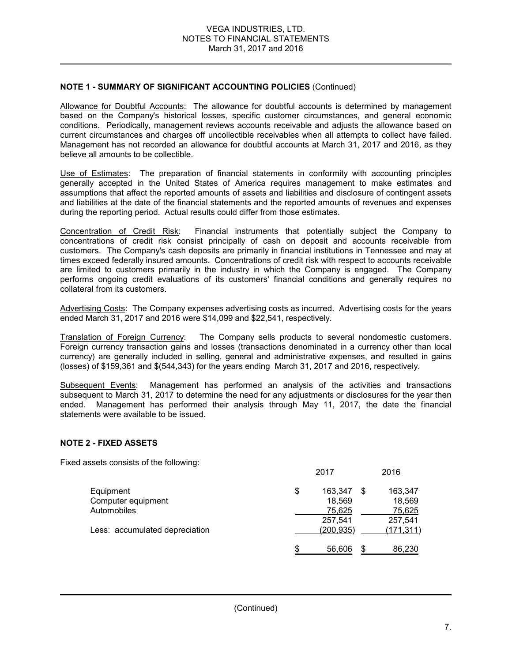### **NOTE 1 - SUMMARY OF SIGNIFICANT ACCOUNTING POLICIES** (Continued)

Allowance for Doubtful Accounts: The allowance for doubtful accounts is determined by management based on the Company's historical losses, specific customer circumstances, and general economic conditions. Periodically, management reviews accounts receivable and adjusts the allowance based on current circumstances and charges off uncollectible receivables when all attempts to collect have failed. Management has not recorded an allowance for doubtful accounts at March 31, 2017 and 2016, as they believe all amounts to be collectible.

Use of Estimates: The preparation of financial statements in conformity with accounting principles generally accepted in the United States of America requires management to make estimates and assumptions that affect the reported amounts of assets and liabilities and disclosure of contingent assets and liabilities at the date of the financial statements and the reported amounts of revenues and expenses during the reporting period. Actual results could differ from those estimates.

Concentration of Credit Risk: Financial instruments that potentially subject the Company to concentrations of credit risk consist principally of cash on deposit and accounts receivable from customers. The Company's cash deposits are primarily in financial institutions in Tennessee and may at times exceed federally insured amounts. Concentrations of credit risk with respect to accounts receivable are limited to customers primarily in the industry in which the Company is engaged. The Company performs ongoing credit evaluations of its customers' financial conditions and generally requires no collateral from its customers.

Advertising Costs: The Company expenses advertising costs as incurred. Advertising costs for the years ended March 31, 2017 and 2016 were \$14,099 and \$22,541, respectively.

Translation of Foreign Currency: The Company sells products to several nondomestic customers. Foreign currency transaction gains and losses (transactions denominated in a currency other than local currency) are generally included in selling, general and administrative expenses, and resulted in gains (losses) of \$159,361 and \$(544,343) for the years ending March 31, 2017 and 2016, respectively.

Subsequent Events: Management has performed an analysis of the activities and transactions subsequent to March 31, 2017 to determine the need for any adjustments or disclosures for the year then ended. Management has performed their analysis through May 11, 2017, the date the financial statements were available to be issued.

### **NOTE 2 - FIXED ASSETS**

Fixed assets consists of the following:

|                                | 2017          |    | 2016       |
|--------------------------------|---------------|----|------------|
| Equipment                      | \$<br>163.347 | S  | 163.347    |
| Computer equipment             | 18,569        |    | 18,569     |
| Automobiles                    | 75,625        |    | 75,625     |
|                                | 257,541       |    | 257,541    |
| Less: accumulated depreciation | (200, 935)    |    | (171, 311) |
|                                | 56,606        | £. | 86,230     |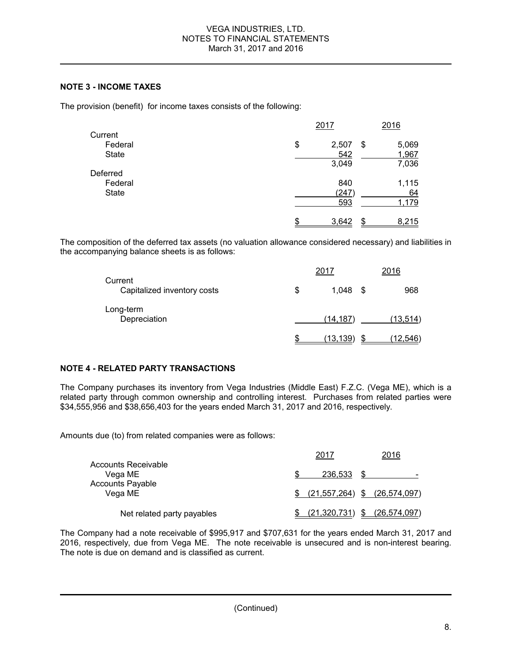### **NOTE 3 - INCOME TAXES**

The provision (benefit) for income taxes consists of the following:

|              |    | 2017        | 2016  |
|--------------|----|-------------|-------|
| Current      |    |             |       |
| Federal      | \$ | 2,507<br>\$ | 5,069 |
| <b>State</b> |    | 542         | 1,967 |
|              |    | 3,049       | 7,036 |
| Deferred     |    |             |       |
| Federal      |    | 840         | 1,115 |
| State        |    | (247)       | 64    |
|              |    | 593         | 1,179 |
|              | S  | 3,642<br>S. | 8,215 |

The composition of the deferred tax assets (no valuation allowance considered necessary) and liabilities in the accompanying balance sheets is as follows:

|                                        | 2017            |   | 2016     |
|----------------------------------------|-----------------|---|----------|
| Current<br>Capitalized inventory costs | \$<br>1.048     | S | 968      |
| Long-term<br>Depreciation              | (14,187)        |   | (13,514) |
|                                        | <u>(13,139)</u> |   | (12,546) |

### **NOTE 4 - RELATED PARTY TRANSACTIONS**

The Company purchases its inventory from Vega Industries (Middle East) F.Z.C. (Vega ME), which is a related party through common ownership and controlling interest. Purchases from related parties were \$34,555,956 and \$38,656,403 for the years ended March 31, 2017 and 2016, respectively.

Amounts due (to) from related companies were as follows:

|                                    | 2017                             | 2016                     |
|------------------------------------|----------------------------------|--------------------------|
| Accounts Receivable<br>Vega ME     | 236.533                          | $\overline{\phantom{0}}$ |
| <b>Accounts Payable</b><br>Vega ME | $(21,557,264)$ \$ $(26,574,097)$ |                          |
| Net related party payables         | (21, 320, 731)                   | \$<br>(26, 574, 097)     |

The Company had a note receivable of \$995,917 and \$707,631 for the years ended March 31, 2017 and 2016, respectively, due from Vega ME. The note receivable is unsecured and is non-interest bearing. The note is due on demand and is classified as current.